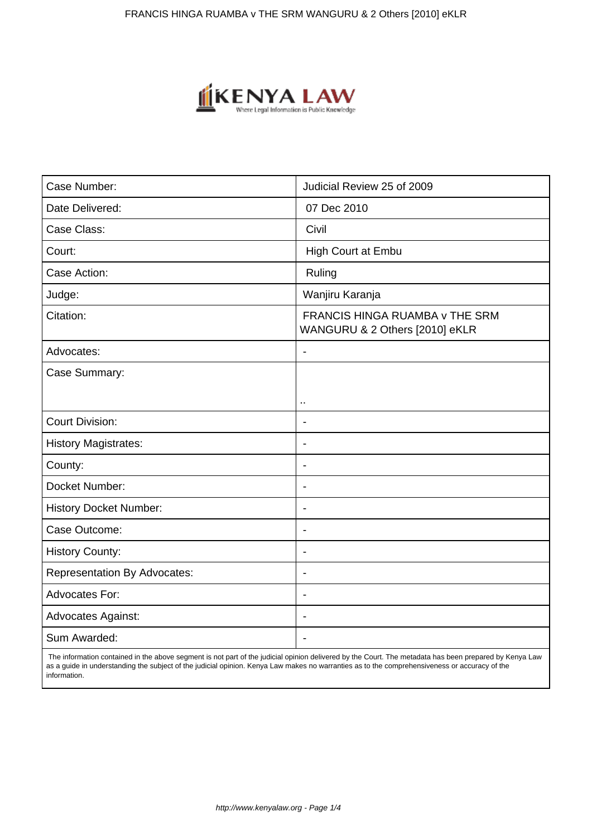

| Case Number:                        | Judicial Review 25 of 2009                                              |
|-------------------------------------|-------------------------------------------------------------------------|
| Date Delivered:                     | 07 Dec 2010                                                             |
| Case Class:                         | Civil                                                                   |
| Court:                              | High Court at Embu                                                      |
| Case Action:                        | Ruling                                                                  |
| Judge:                              | Wanjiru Karanja                                                         |
| Citation:                           | <b>FRANCIS HINGA RUAMBA v THE SRM</b><br>WANGURU & 2 Others [2010] eKLR |
| Advocates:                          | $\overline{\phantom{a}}$                                                |
| Case Summary:                       |                                                                         |
|                                     | ٠.                                                                      |
| <b>Court Division:</b>              |                                                                         |
| <b>History Magistrates:</b>         | $\blacksquare$                                                          |
| County:                             | $\blacksquare$                                                          |
| Docket Number:                      | $\blacksquare$                                                          |
| <b>History Docket Number:</b>       | $\blacksquare$                                                          |
| Case Outcome:                       | $\overline{\phantom{a}}$                                                |
| <b>History County:</b>              | $\blacksquare$                                                          |
| <b>Representation By Advocates:</b> | $\blacksquare$                                                          |
| Advocates For:                      | $\overline{\phantom{a}}$                                                |
| <b>Advocates Against:</b>           | $\overline{\phantom{a}}$                                                |
| Sum Awarded:                        |                                                                         |

 The information contained in the above segment is not part of the judicial opinion delivered by the Court. The metadata has been prepared by Kenya Law as a guide in understanding the subject of the judicial opinion. Kenya Law makes no warranties as to the comprehensiveness or accuracy of the information.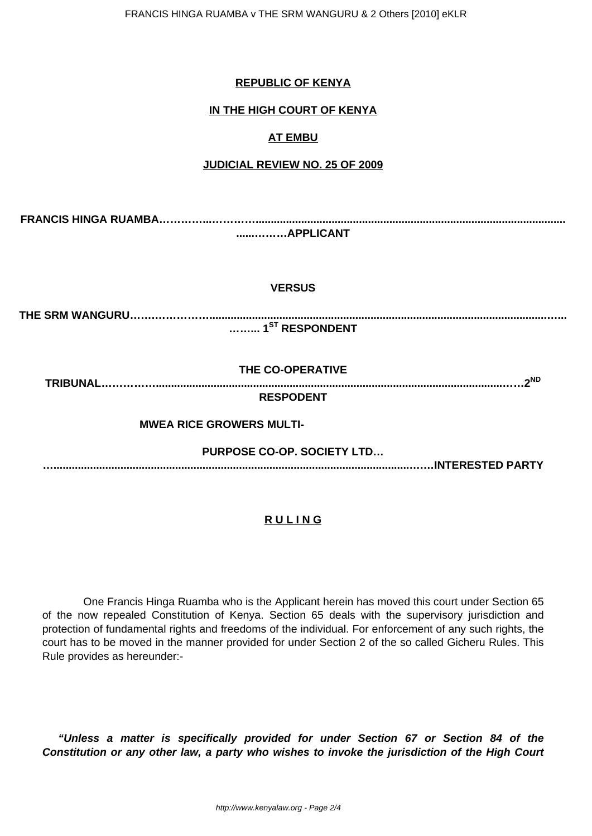## **REPUBLIC OF KENYA**

### **IN THE HIGH COURT OF KENYA**

### **AT EMBU**

#### **JUDICIAL REVIEW NO. 25 OF 2009**

**FRANCIS HINGA RUAMBA…………...…………...................................................................................................... ......………APPLICANT**

#### **VERSUS**

**THE SRM WANGURU…….……………...............................................................................................................…...**

**……... 1ST RESPONDENT**

**THE CO-OPERATIVE**

**TRIBUNAL……………..................................................................................................................……2ND**

**RESPODENT**

 **MWEA RICE GROWERS MULTI-**

**PURPOSE CO-OP. SOCIETY LTD…**

**….....................................................................................................................….…INTERESTED PARTY**

## **R U L I N G**

 One Francis Hinga Ruamba who is the Applicant herein has moved this court under Section 65 of the now repealed Constitution of Kenya. Section 65 deals with the supervisory jurisdiction and protection of fundamental rights and freedoms of the individual. For enforcement of any such rights, the court has to be moved in the manner provided for under Section 2 of the so called Gicheru Rules. This Rule provides as hereunder:-

**"Unless a matter is specifically provided for under Section 67 or Section 84 of the Constitution or any other law, a party who wishes to invoke the jurisdiction of the High Court**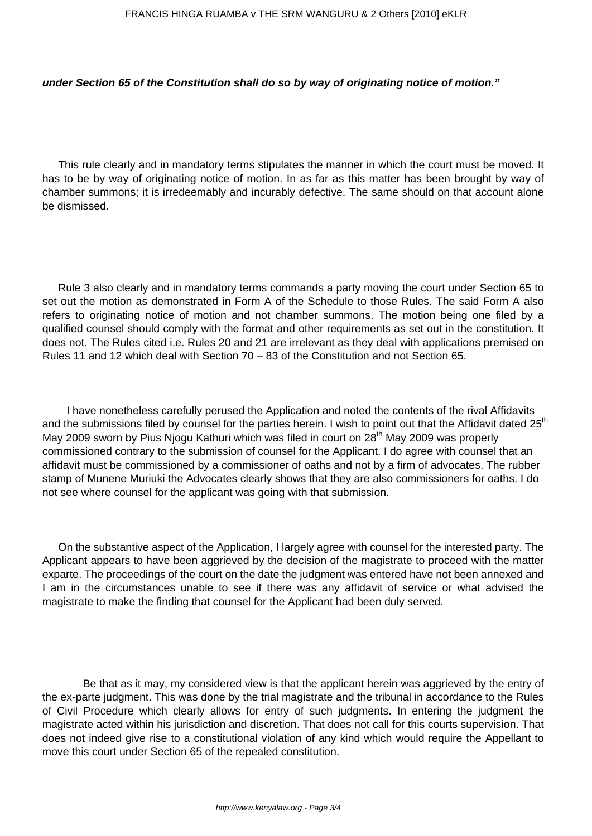#### **under Section 65 of the Constitution shall do so by way of originating notice of motion."**

This rule clearly and in mandatory terms stipulates the manner in which the court must be moved. It has to be by way of originating notice of motion. In as far as this matter has been brought by way of chamber summons; it is irredeemably and incurably defective. The same should on that account alone be dismissed.

Rule 3 also clearly and in mandatory terms commands a party moving the court under Section 65 to set out the motion as demonstrated in Form A of the Schedule to those Rules. The said Form A also refers to originating notice of motion and not chamber summons. The motion being one filed by a qualified counsel should comply with the format and other requirements as set out in the constitution. It does not. The Rules cited i.e. Rules 20 and 21 are irrelevant as they deal with applications premised on Rules 11 and 12 which deal with Section 70 – 83 of the Constitution and not Section 65.

 I have nonetheless carefully perused the Application and noted the contents of the rival Affidavits and the submissions filed by counsel for the parties herein. I wish to point out that the Affidavit dated 25<sup>th</sup> May 2009 sworn by Pius Njogu Kathuri which was filed in court on 28<sup>th</sup> May 2009 was properly commissioned contrary to the submission of counsel for the Applicant. I do agree with counsel that an affidavit must be commissioned by a commissioner of oaths and not by a firm of advocates. The rubber stamp of Munene Muriuki the Advocates clearly shows that they are also commissioners for oaths. I do not see where counsel for the applicant was going with that submission.

On the substantive aspect of the Application, I largely agree with counsel for the interested party. The Applicant appears to have been aggrieved by the decision of the magistrate to proceed with the matter exparte. The proceedings of the court on the date the judgment was entered have not been annexed and I am in the circumstances unable to see if there was any affidavit of service or what advised the magistrate to make the finding that counsel for the Applicant had been duly served.

 Be that as it may, my considered view is that the applicant herein was aggrieved by the entry of the ex-parte judgment. This was done by the trial magistrate and the tribunal in accordance to the Rules of Civil Procedure which clearly allows for entry of such judgments. In entering the judgment the magistrate acted within his jurisdiction and discretion. That does not call for this courts supervision. That does not indeed give rise to a constitutional violation of any kind which would require the Appellant to move this court under Section 65 of the repealed constitution.